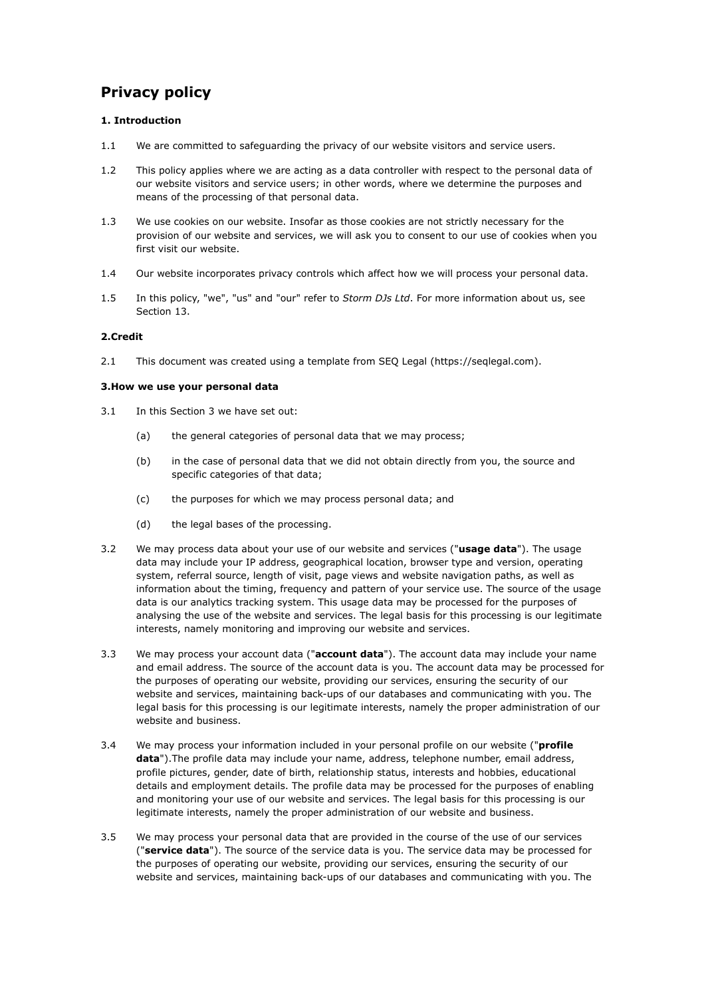# **Privacy policy**

## **1. Introduction**

- 1.1 We are committed to safeguarding the privacy of our website visitors and service users.
- 1.2 This policy applies where we are acting as a data controller with respect to the personal data of our website visitors and service users; in other words, where we determine the purposes and means of the processing of that personal data.
- 1.3 We use cookies on our website. Insofar as those cookies are not strictly necessary for the provision of our website and services, we will ask you to consent to our use of cookies when you first visit our website.
- 1.4 Our website incorporates privacy controls which affect how we will process your personal data.
- 1.5 In this policy, "we", "us" and "our" refer to *Storm DJs Ltd*. For more information about us, see Section 13.

## **2.Credit**

2.1 This document was created using a template from SEQ Legal [\(https://seqlegal.com\)](https://seqlegal.com).

## **3.How we use your personal data**

- 3.1 In this Section 3 we have set out:
	- (a) the general categories of personal data that we may process;
	- (b) in the case of personal data that we did not obtain directly from you, the source and specific categories of that data;
	- (c) the purposes for which we may process personal data; and
	- (d) the legal bases of the processing.
- 3.2 We may process data about your use of our website and services ("**usage data**"). The usage data may include your IP address, geographical location, browser type and version, operating system, referral source, length of visit, page views and website navigation paths, as well as information about the timing, frequency and pattern of your service use. The source of the usage data is our analytics tracking system. This usage data may be processed for the purposes of analysing the use of the website and services. The legal basis for this processing is our legitimate interests, namely monitoring and improving our website and services.
- 3.3 We may process your account data ("**account data**"). The account data may include your name and email address. The source of the account data is you. The account data may be processed for the purposes of operating our website, providing our services, ensuring the security of our website and services, maintaining back-ups of our databases and communicating with you. The legal basis for this processing is our legitimate interests, namely the proper administration of our website and business.
- 3.4 We may process your information included in your personal profile on our website ("**profile data**").The profile data may include your name, address, telephone number, email address, profile pictures, gender, date of birth, relationship status, interests and hobbies, educational details and employment details. The profile data may be processed for the purposes of enabling and monitoring your use of our website and services. The legal basis for this processing is our legitimate interests, namely the proper administration of our website and business.
- 3.5 We may process your personal data that are provided in the course of the use of our services ("**service data**"). The source of the service data is you. The service data may be processed for the purposes of operating our website, providing our services, ensuring the security of our website and services, maintaining back-ups of our databases and communicating with you. The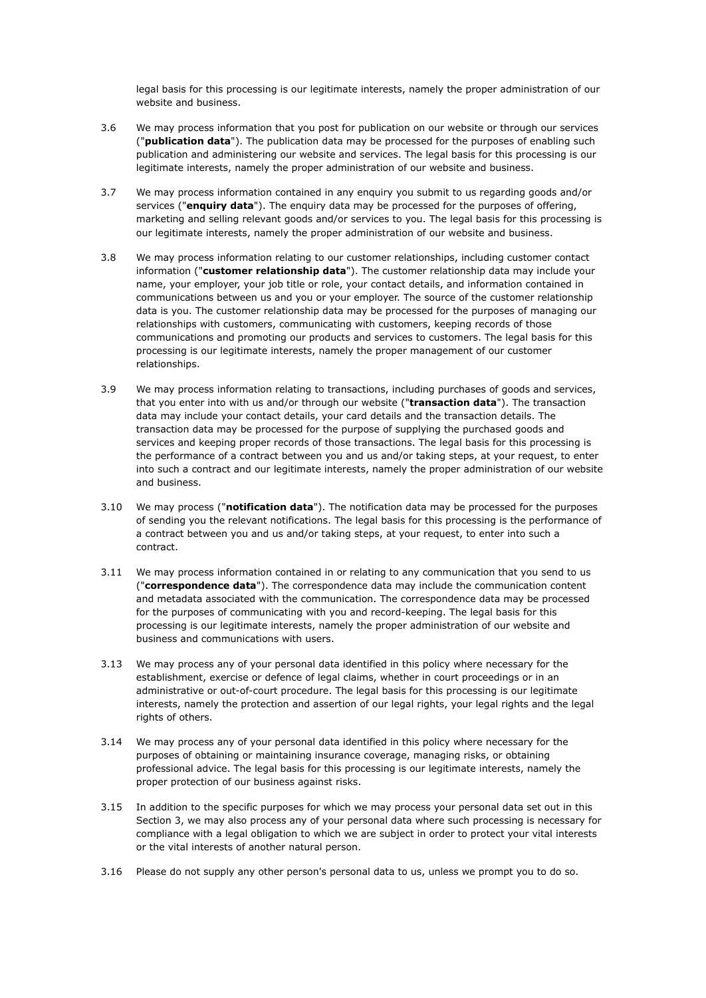legal basis for this processing is our legitimate interests, namely the proper administration of our website and business.

- 3.6 We may process information that you post for publication on our website or through our services ("**publication data**"). The publication data may be processed for the purposes of enabling such publication and administering our website and services. The legal basis for this processing is our legitimate interests, namely the proper administration of our website and business.
- 3.7 We may process information contained in any enquiry you submit to us regarding goods and/or services ("**enquiry data**"). The enquiry data may be processed for the purposes of offering, marketing and selling relevant goods and/or services to you. The legal basis for this processing is our legitimate interests, namely the proper administration of our website and business.
- 3.8 We may process information relating to our customer relationships, including customer contact information ("**customer relationship data**"). The customer relationship data may include your name, your employer, your job title or role, your contact details, and information contained in communications between us and you or your employer. The source of the customer relationship data is you. The customer relationship data may be processed for the purposes of managing our relationships with customers, communicating with customers, keeping records of those communications and promoting our products and services to customers. The legal basis for this processing is our legitimate interests, namely the proper management of our customer relationships.
- 3.9 We may process information relating to transactions, including purchases of goods and services, that you enter into with us and/or through our website ("**transaction data**"). The transaction data may include your contact details, your card details and the transaction details. The transaction data may be processed for the purpose of supplying the purchased goods and services and keeping proper records of those transactions. The legal basis for this processing is the performance of a contract between you and us and/or taking steps, at your request, to enter into such a contract and our legitimate interests, namely the proper administration of our website and business.
- 3.10 We may process ("**notification data**"). The notification data may be processed for the purposes of sending you the relevant notifications. The legal basis for this processing is the performance of a contract between you and us and/or taking steps, at your request, to enter into such a contract.
- 3.11 We may process information contained in or relating to any communication that you send to us ("**correspondence data**"). The correspondence data may include the communication content and metadata associated with the communication. The correspondence data may be processed for the purposes of communicating with you and record-keeping. The legal basis for this processing is our legitimate interests, namely the proper administration of our website and business and communications with users.
- 3.13 We may process any of your personal data identified in this policy where necessary for the establishment, exercise or defence of legal claims, whether in court proceedings or in an administrative or out-of-court procedure. The legal basis for this processing is our legitimate interests, namely the protection and assertion of our legal rights, your legal rights and the legal rights of others.
- 3.14 We may process any of your personal data identified in this policy where necessary for the purposes of obtaining or maintaining insurance coverage, managing risks, or obtaining professional advice. The legal basis for this processing is our legitimate interests, namely the proper protection of our business against risks.
- 3.15 In addition to the specific purposes for which we may process your personal data set out in this Section 3, we may also process any of your personal data where such processing is necessary for compliance with a legal obligation to which we are subject in order to protect your vital interests or the vital interests of another natural person.
- 3.16 Please do not supply any other person's personal data to us, unless we prompt you to do so.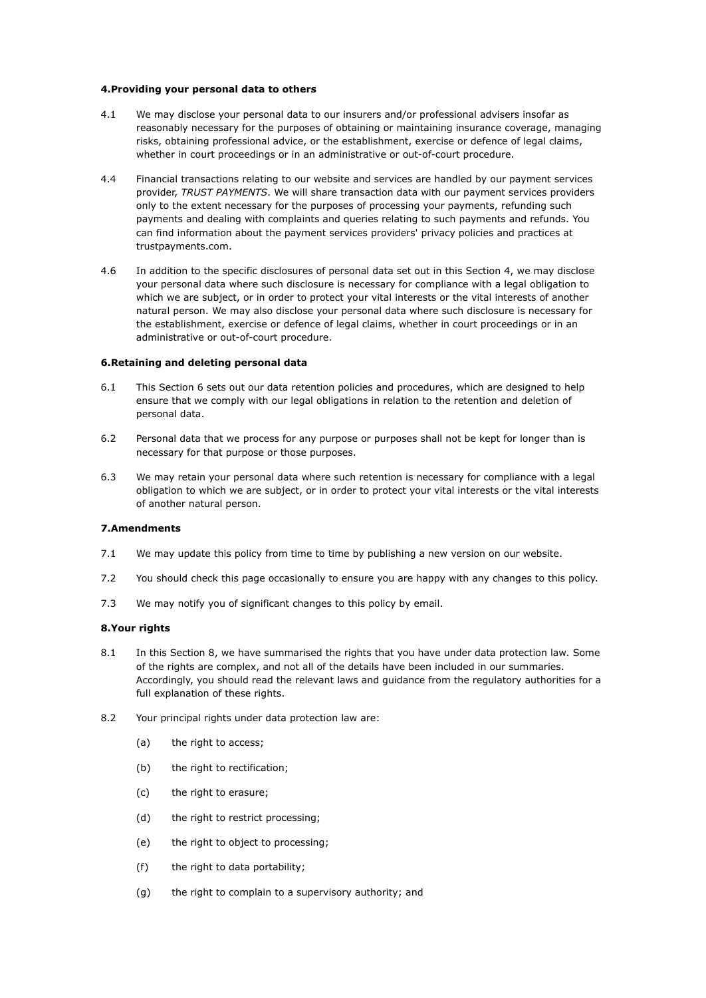## **4.Providing your personal data to others**

- 4.1 We may disclose your personal data to our insurers and/or professional advisers insofar as reasonably necessary for the purposes of obtaining or maintaining insurance coverage, managing risks, obtaining professional advice, or the establishment, exercise or defence of legal claims, whether in court proceedings or in an administrative or out-of-court procedure.
- 4.4 Financial transactions relating to our website and services are handled by our payment services provider, *TRUST PAYMENTS*. We will share transaction data with our payment services providers only to the extent necessary for the purposes of processing your payments, refunding such payments and dealing with complaints and queries relating to such payments and refunds. You can find information about the payment services providers' privacy policies and practices at trustpayments.com.
- 4.6 In addition to the specific disclosures of personal data set out in this Section 4, we may disclose your personal data where such disclosure is necessary for compliance with a legal obligation to which we are subject, or in order to protect your vital interests or the vital interests of another natural person. We may also disclose your personal data where such disclosure is necessary for the establishment, exercise or defence of legal claims, whether in court proceedings or in an administrative or out-of-court procedure.

## **6.Retaining and deleting personal data**

- 6.1 This Section 6 sets out our data retention policies and procedures, which are designed to help ensure that we comply with our legal obligations in relation to the retention and deletion of personal data.
- 6.2 Personal data that we process for any purpose or purposes shall not be kept for longer than is necessary for that purpose or those purposes.
- 6.3 We may retain your personal data where such retention is necessary for compliance with a legal obligation to which we are subject, or in order to protect your vital interests or the vital interests of another natural person.

## **7.Amendments**

- 7.1 We may update this policy from time to time by publishing a new version on our website.
- 7.2 You should check this page occasionally to ensure you are happy with any changes to this policy.
- 7.3 We may notify you of significant changes to this policy by email.

#### **8.Your rights**

- 8.1 In this Section 8, we have summarised the rights that you have under data protection law. Some of the rights are complex, and not all of the details have been included in our summaries. Accordingly, you should read the relevant laws and guidance from the regulatory authorities for a full explanation of these rights.
- 8.2 Your principal rights under data protection law are:
	- (a) the right to access;
	- (b) the right to rectification;
	- (c) the right to erasure;
	- (d) the right to restrict processing;
	- (e) the right to object to processing;
	- (f) the right to data portability;
	- (g) the right to complain to a supervisory authority; and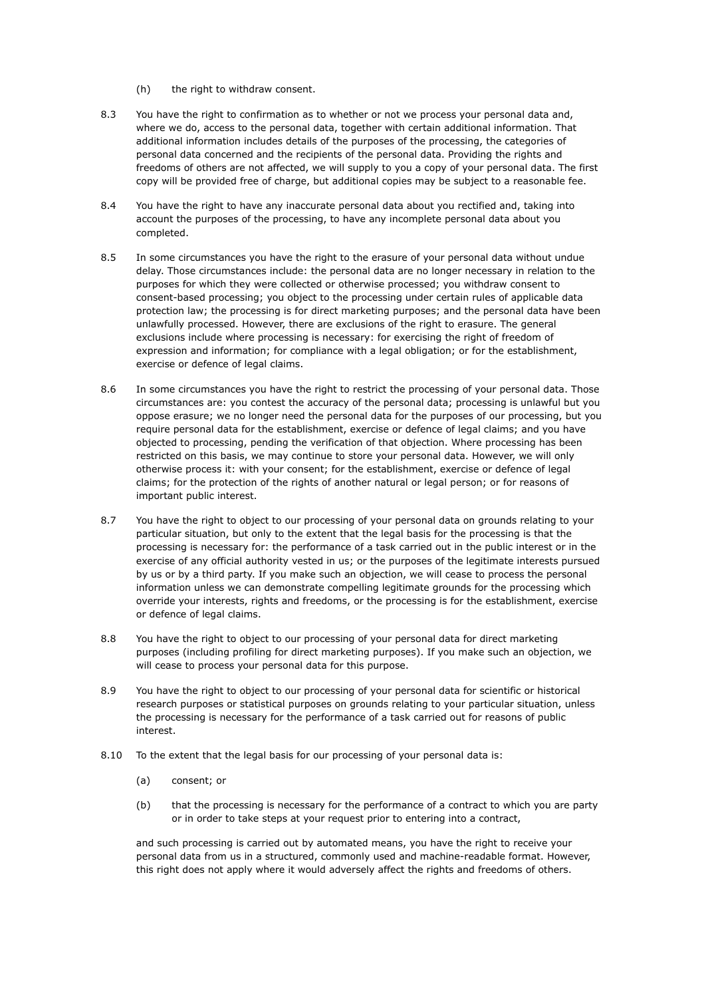- (h) the right to withdraw consent.
- 8.3 You have the right to confirmation as to whether or not we process your personal data and, where we do, access to the personal data, together with certain additional information. That additional information includes details of the purposes of the processing, the categories of personal data concerned and the recipients of the personal data. Providing the rights and freedoms of others are not affected, we will supply to you a copy of your personal data. The first copy will be provided free of charge, but additional copies may be subject to a reasonable fee.
- 8.4 You have the right to have any inaccurate personal data about you rectified and, taking into account the purposes of the processing, to have any incomplete personal data about you completed.
- 8.5 In some circumstances you have the right to the erasure of your personal data without undue delay. Those circumstances include: the personal data are no longer necessary in relation to the purposes for which they were collected or otherwise processed; you withdraw consent to consent-based processing; you object to the processing under certain rules of applicable data protection law; the processing is for direct marketing purposes; and the personal data have been unlawfully processed. However, there are exclusions of the right to erasure. The general exclusions include where processing is necessary: for exercising the right of freedom of expression and information; for compliance with a legal obligation; or for the establishment, exercise or defence of legal claims.
- 8.6 In some circumstances you have the right to restrict the processing of your personal data. Those circumstances are: you contest the accuracy of the personal data; processing is unlawful but you oppose erasure; we no longer need the personal data for the purposes of our processing, but you require personal data for the establishment, exercise or defence of legal claims; and you have objected to processing, pending the verification of that objection. Where processing has been restricted on this basis, we may continue to store your personal data. However, we will only otherwise process it: with your consent; for the establishment, exercise or defence of legal claims; for the protection of the rights of another natural or legal person; or for reasons of important public interest.
- 8.7 You have the right to object to our processing of your personal data on grounds relating to your particular situation, but only to the extent that the legal basis for the processing is that the processing is necessary for: the performance of a task carried out in the public interest or in the exercise of any official authority vested in us; or the purposes of the legitimate interests pursued by us or by a third party. If you make such an objection, we will cease to process the personal information unless we can demonstrate compelling legitimate grounds for the processing which override your interests, rights and freedoms, or the processing is for the establishment, exercise or defence of legal claims.
- 8.8 You have the right to object to our processing of your personal data for direct marketing purposes (including profiling for direct marketing purposes). If you make such an objection, we will cease to process your personal data for this purpose.
- 8.9 You have the right to object to our processing of your personal data for scientific or historical research purposes or statistical purposes on grounds relating to your particular situation, unless the processing is necessary for the performance of a task carried out for reasons of public interest.
- 8.10 To the extent that the legal basis for our processing of your personal data is:
	- (a) consent; or
	- (b) that the processing is necessary for the performance of a contract to which you are party or in order to take steps at your request prior to entering into a contract,

and such processing is carried out by automated means, you have the right to receive your personal data from us in a structured, commonly used and machine-readable format. However, this right does not apply where it would adversely affect the rights and freedoms of others.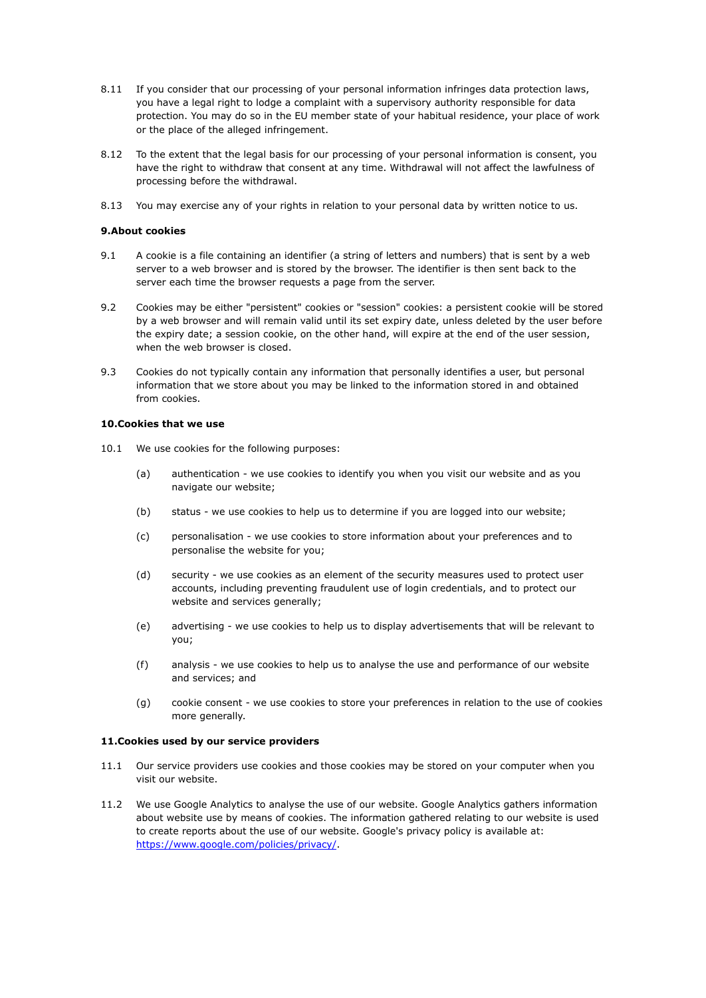- 8.11 If you consider that our processing of your personal information infringes data protection laws, you have a legal right to lodge a complaint with a supervisory authority responsible for data protection. You may do so in the EU member state of your habitual residence, your place of work or the place of the alleged infringement.
- 8.12 To the extent that the legal basis for our processing of your personal information is consent, you have the right to withdraw that consent at any time. Withdrawal will not affect the lawfulness of processing before the withdrawal.
- 8.13 You may exercise any of your rights in relation to your personal data by written notice to us.

## **9.About cookies**

- 9.1 A cookie is a file containing an identifier (a string of letters and numbers) that is sent by a web server to a web browser and is stored by the browser. The identifier is then sent back to the server each time the browser requests a page from the server.
- 9.2 Cookies may be either "persistent" cookies or "session" cookies: a persistent cookie will be stored by a web browser and will remain valid until its set expiry date, unless deleted by the user before the expiry date; a session cookie, on the other hand, will expire at the end of the user session, when the web browser is closed.
- 9.3 Cookies do not typically contain any information that personally identifies a user, but personal information that we store about you may be linked to the information stored in and obtained from cookies.

## **10.Cookies that we use**

- 10.1 We use cookies for the following purposes:
	- (a) authentication we use cookies to identify you when you visit our website and as you navigate our website;
	- (b) status we use cookies to help us to determine if you are logged into our website;
	- (c) personalisation we use cookies to store information about your preferences and to personalise the website for you;
	- (d) security we use cookies as an element of the security measures used to protect user accounts, including preventing fraudulent use of login credentials, and to protect our website and services generally;
	- (e) advertising we use cookies to help us to display advertisements that will be relevant to you;
	- (f) analysis we use cookies to help us to analyse the use and performance of our website and services; and
	- (g) cookie consent we use cookies to store your preferences in relation to the use of cookies more generally.

#### **11.Cookies used by our service providers**

- 11.1 Our service providers use cookies and those cookies may be stored on your computer when you visit our website.
- 11.2 We use Google Analytics to analyse the use of our website. Google Analytics gathers information about website use by means of cookies. The information gathered relating to our website is used to create reports about the use of our website. Google's privacy policy is available at: <https://www.google.com/policies/privacy/>.